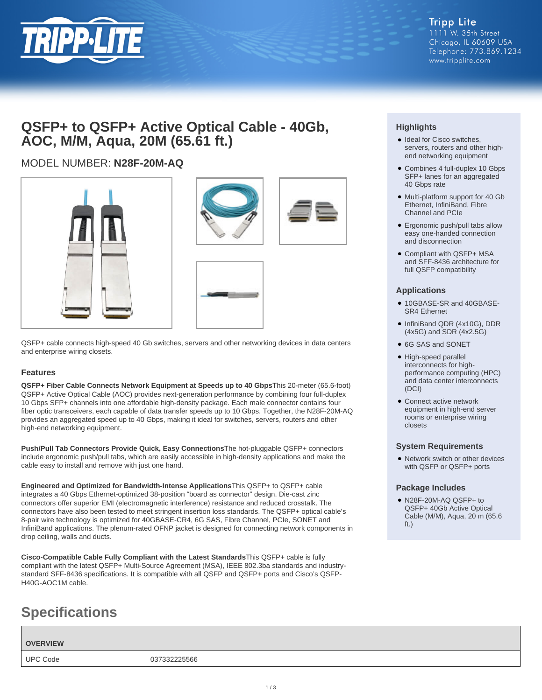

# **QSFP+ to QSFP+ Active Optical Cable - 40Gb, AOC, M/M, Aqua, 20M (65.61 ft.)**

# MODEL NUMBER: **N28F-20M-AQ**







QSFP+ cable connects high-speed 40 Gb switches, servers and other networking devices in data centers and enterprise wiring closets.

## **Features**

**QSFP+ Fiber Cable Connects Network Equipment at Speeds up to 40 Gbps**This 20-meter (65.6-foot) QSFP+ Active Optical Cable (AOC) provides next-generation performance by combining four full-duplex 10 Gbps SFP+ channels into one affordable high-density package. Each male connector contains four fiber optic transceivers, each capable of data transfer speeds up to 10 Gbps. Together, the N28F-20M-AQ provides an aggregated speed up to 40 Gbps, making it ideal for switches, servers, routers and other high-end networking equipment.

**Push/Pull Tab Connectors Provide Quick, Easy Connections**The hot-pluggable QSFP+ connectors include ergonomic push/pull tabs, which are easily accessible in high-density applications and make the cable easy to install and remove with just one hand.

**Engineered and Optimized for Bandwidth-Intense Applications**This QSFP+ to QSFP+ cable integrates a 40 Gbps Ethernet-optimized 38-position "board as connector" design. Die-cast zinc connectors offer superior EMI (electromagnetic interference) resistance and reduced crosstalk. The connectors have also been tested to meet stringent insertion loss standards. The QSFP+ optical cable's 8-pair wire technology is optimized for 40GBASE-CR4, 6G SAS, Fibre Channel, PCIe, SONET and InfiniBand applications. The plenum-rated OFNP jacket is designed for connecting network components in drop ceiling, walls and ducts.

**Cisco-Compatible Cable Fully Compliant with the Latest Standards**This QSFP+ cable is fully compliant with the latest QSFP+ Multi-Source Agreement (MSA), IEEE 802.3ba standards and industrystandard SFF-8436 specifications. It is compatible with all QSFP and QSFP+ ports and Cisco's QSFP-H40G-AOC1M cable.

# **Specifications**

| <u>shoninameno</u> |              |  |
|--------------------|--------------|--|
|                    |              |  |
| <b>OVERVIEW</b>    |              |  |
| <b>UPC Code</b>    | 037332225566 |  |

# **Highlights**

- Ideal for Cisco switches, servers, routers and other highend networking equipment
- Combines 4 full-duplex 10 Gbps SFP+ lanes for an aggregated 40 Gbps rate
- Multi-platform support for 40 Gb Ethernet, InfiniBand, Fibre Channel and PCIe
- Ergonomic push/pull tabs allow easy one-handed connection and disconnection
- Compliant with QSFP+ MSA and SFF-8436 architecture for full QSFP compatibility

## **Applications**

- 10GBASE-SR and 40GBASE-SR4 Ethernet
- InfiniBand QDR (4x10G), DDR (4x5G) and SDR (4x2.5G)
- 6G SAS and SONET
- High-speed parallel interconnects for highperformance computing (HPC) and data center interconnects (DCI)
- Connect active network equipment in high-end server rooms or enterprise wiring closets

#### **System Requirements**

Network switch or other devices ● with QSFP or QSFP+ ports

## **Package Includes**

● N28F-20M-AQ QSFP+ to QSFP+ 40Gb Active Optical Cable (M/M), Aqua, 20 m (65.6 ft.)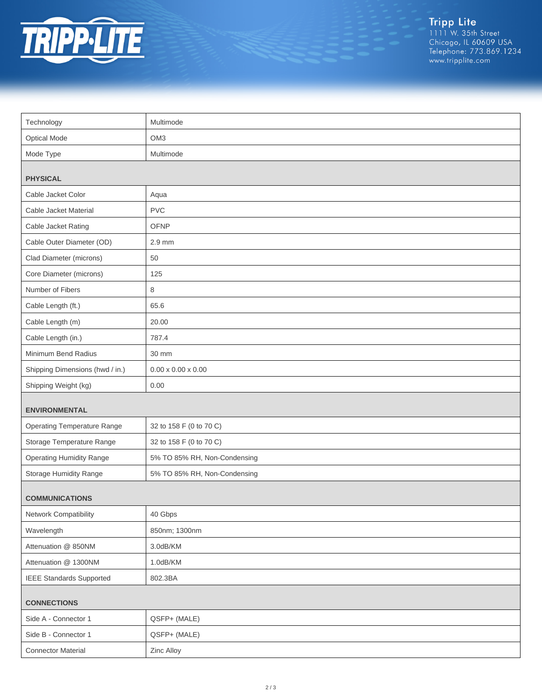

Tripp Lite<br>1111 W. 35th Street<br>Chicago, IL 60609 USA<br>Telephone: 773.869.1234<br>www.tripplite.com

| Technology                         | Multimode                      |  |
|------------------------------------|--------------------------------|--|
| <b>Optical Mode</b>                | OM <sub>3</sub>                |  |
| Mode Type                          | Multimode                      |  |
| <b>PHYSICAL</b>                    |                                |  |
| Cable Jacket Color                 | Aqua                           |  |
| Cable Jacket Material              | <b>PVC</b>                     |  |
| Cable Jacket Rating                | <b>OFNP</b>                    |  |
| Cable Outer Diameter (OD)          | 2.9 mm                         |  |
| Clad Diameter (microns)            | 50                             |  |
| Core Diameter (microns)            | 125                            |  |
| Number of Fibers                   | 8                              |  |
| Cable Length (ft.)                 | 65.6                           |  |
| Cable Length (m)                   | 20.00                          |  |
| Cable Length (in.)                 | 787.4                          |  |
| Minimum Bend Radius                | 30 mm                          |  |
| Shipping Dimensions (hwd / in.)    | $0.00 \times 0.00 \times 0.00$ |  |
| Shipping Weight (kg)               | 0.00                           |  |
| <b>ENVIRONMENTAL</b>               |                                |  |
| <b>Operating Temperature Range</b> | 32 to 158 F (0 to 70 C)        |  |
| Storage Temperature Range          | 32 to 158 F (0 to 70 C)        |  |
| <b>Operating Humidity Range</b>    | 5% TO 85% RH, Non-Condensing   |  |
| Storage Humidity Range             | 5% TO 85% RH, Non-Condensing   |  |
| <b>COMMUNICATIONS</b>              |                                |  |
| Network Compatibility              | 40 Gbps                        |  |
| Wavelength                         | 850nm; 1300nm                  |  |
| Attenuation @ 850NM                | 3.0dB/KM                       |  |
| Attenuation @ 1300NM               | 1.0dB/KM                       |  |
| <b>IEEE Standards Supported</b>    | 802.3BA                        |  |
| <b>CONNECTIONS</b>                 |                                |  |
| Side A - Connector 1               | QSFP+ (MALE)                   |  |
| Side B - Connector 1               | QSFP+ (MALE)                   |  |
| <b>Connector Material</b>          | Zinc Alloy                     |  |